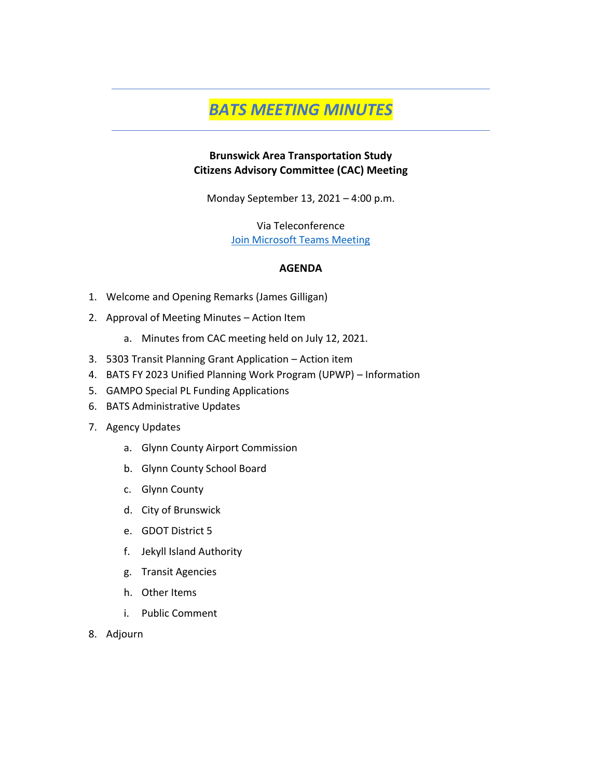# *BATS MEETING MINUTES*

#### **Brunswick Area Transportation Study Citizens Advisory Committee (CAC) Meeting**

Monday September 13, 2021 – 4:00 p.m.

Via Teleconference [Join Microsoft Teams Meeting](https://teams.microsoft.com/l/meetup-join/19%3ameeting_NWY3Y2MyZDktYzg1Yy00NWI5LThmNWYtYTI3ZGJhOWU0Yjdl%40thread.v2/0?context=%7b%22Tid%22%3a%22c58ddf19-e3d6-48ae-9ca8-fb286a5f162b%22%2c%22Oid%22%3a%224f122dbe-9eaa-4dfd-b1cf-79754b50f8b5%22%7d)

#### **AGENDA**

- 1. Welcome and Opening Remarks (James Gilligan)
- 2. Approval of Meeting Minutes Action Item
	- a. Minutes from CAC meeting held on July 12, 2021.
- 3. 5303 Transit Planning Grant Application Action item
- 4. BATS FY 2023 Unified Planning Work Program (UPWP) Information
- 5. GAMPO Special PL Funding Applications
- 6. BATS Administrative Updates
- 7. Agency Updates
	- a. Glynn County Airport Commission
	- b. Glynn County School Board
	- c. Glynn County
	- d. City of Brunswick
	- e. GDOT District 5
	- f. Jekyll Island Authority
	- g. Transit Agencies
	- h. Other Items
	- i. Public Comment
- 8. Adjourn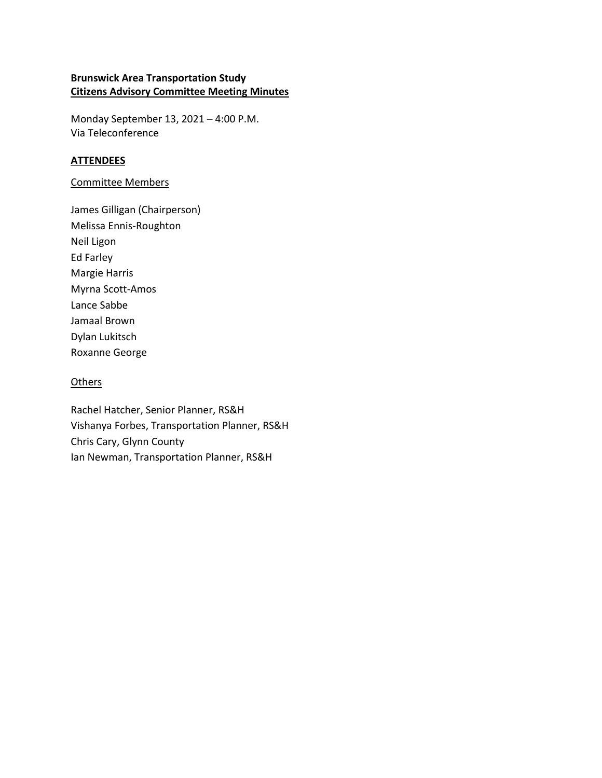#### **Brunswick Area Transportation Study Citizens Advisory Committee Meeting Minutes**

Monday September 13, 2021 – 4:00 P.M. Via Teleconference

#### **ATTENDEES**

#### Committee Members

James Gilligan (Chairperson) Melissa Ennis-Roughton Neil Ligon Ed Farley Margie Harris Myrna Scott-Amos Lance Sabbe Jamaal Brown Dylan Lukitsch Roxanne George

#### **Others**

Rachel Hatcher, Senior Planner, RS&H Vishanya Forbes, Transportation Planner, RS&H Chris Cary, Glynn County Ian Newman, Transportation Planner, RS&H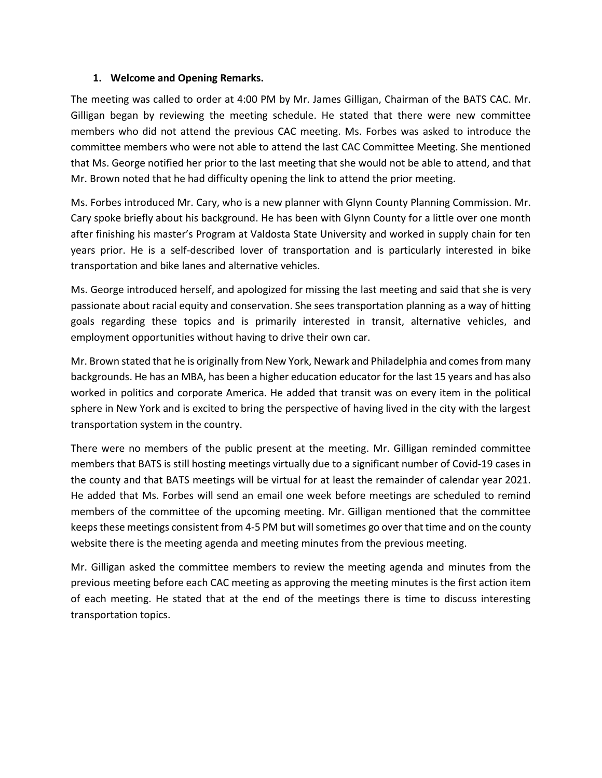#### **1. Welcome and Opening Remarks.**

The meeting was called to order at 4:00 PM by Mr. James Gilligan, Chairman of the BATS CAC. Mr. Gilligan began by reviewing the meeting schedule. He stated that there were new committee members who did not attend the previous CAC meeting. Ms. Forbes was asked to introduce the committee members who were not able to attend the last CAC Committee Meeting. She mentioned that Ms. George notified her prior to the last meeting that she would not be able to attend, and that Mr. Brown noted that he had difficulty opening the link to attend the prior meeting.

Ms. Forbes introduced Mr. Cary, who is a new planner with Glynn County Planning Commission. Mr. Cary spoke briefly about his background. He has been with Glynn County for a little over one month after finishing his master's Program at Valdosta State University and worked in supply chain for ten years prior. He is a self-described lover of transportation and is particularly interested in bike transportation and bike lanes and alternative vehicles.

Ms. George introduced herself, and apologized for missing the last meeting and said that she is very passionate about racial equity and conservation. She sees transportation planning as a way of hitting goals regarding these topics and is primarily interested in transit, alternative vehicles, and employment opportunities without having to drive their own car.

Mr. Brown stated that he is originally from New York, Newark and Philadelphia and comes from many backgrounds. He has an MBA, has been a higher education educator for the last 15 years and has also worked in politics and corporate America. He added that transit was on every item in the political sphere in New York and is excited to bring the perspective of having lived in the city with the largest transportation system in the country.

There were no members of the public present at the meeting. Mr. Gilligan reminded committee members that BATS is still hosting meetings virtually due to a significant number of Covid-19 cases in the county and that BATS meetings will be virtual for at least the remainder of calendar year 2021. He added that Ms. Forbes will send an email one week before meetings are scheduled to remind members of the committee of the upcoming meeting. Mr. Gilligan mentioned that the committee keeps these meetings consistent from 4-5 PM but will sometimes go over that time and on the county website there is the meeting agenda and meeting minutes from the previous meeting.

Mr. Gilligan asked the committee members to review the meeting agenda and minutes from the previous meeting before each CAC meeting as approving the meeting minutes is the first action item of each meeting. He stated that at the end of the meetings there is time to discuss interesting transportation topics.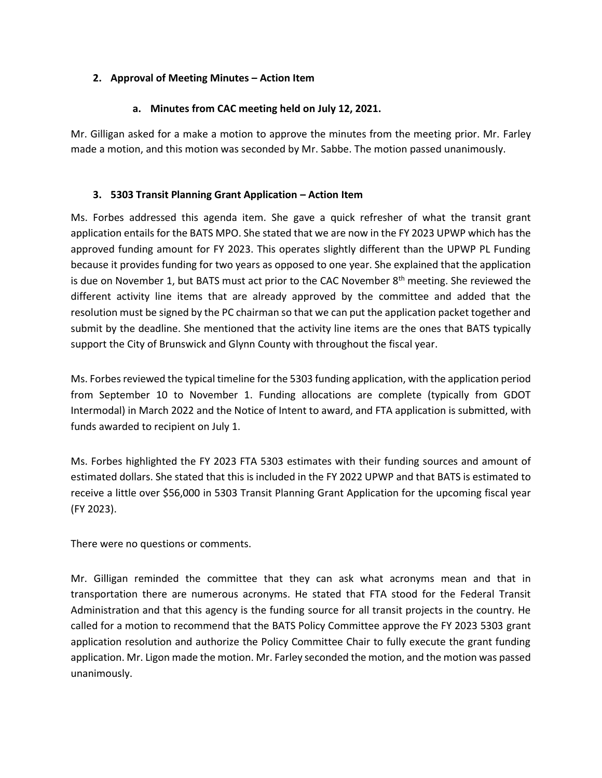## **2. Approval of Meeting Minutes – Action Item**

## **a. Minutes from CAC meeting held on July 12, 2021.**

Mr. Gilligan asked for a make a motion to approve the minutes from the meeting prior. Mr. Farley made a motion, and this motion was seconded by Mr. Sabbe. The motion passed unanimously.

### **3. 5303 Transit Planning Grant Application – Action Item**

Ms. Forbes addressed this agenda item. She gave a quick refresher of what the transit grant application entails for the BATS MPO. She stated that we are now in the FY 2023 UPWP which has the approved funding amount for FY 2023. This operates slightly different than the UPWP PL Funding because it provides funding for two years as opposed to one year. She explained that the application is due on November 1, but BATS must act prior to the CAC November 8<sup>th</sup> meeting. She reviewed the different activity line items that are already approved by the committee and added that the resolution must be signed by the PC chairman so that we can put the application packet together and submit by the deadline. She mentioned that the activity line items are the ones that BATS typically support the City of Brunswick and Glynn County with throughout the fiscal year.

Ms. Forbes reviewed the typical timeline for the 5303 funding application, with the application period from September 10 to November 1. Funding allocations are complete (typically from GDOT Intermodal) in March 2022 and the Notice of Intent to award, and FTA application is submitted, with funds awarded to recipient on July 1.

Ms. Forbes highlighted the FY 2023 FTA 5303 estimates with their funding sources and amount of estimated dollars. She stated that this is included in the FY 2022 UPWP and that BATS is estimated to receive a little over \$56,000 in 5303 Transit Planning Grant Application for the upcoming fiscal year (FY 2023).

There were no questions or comments.

Mr. Gilligan reminded the committee that they can ask what acronyms mean and that in transportation there are numerous acronyms. He stated that FTA stood for the Federal Transit Administration and that this agency is the funding source for all transit projects in the country. He called for a motion to recommend that the BATS Policy Committee approve the FY 2023 5303 grant application resolution and authorize the Policy Committee Chair to fully execute the grant funding application. Mr. Ligon made the motion. Mr. Farley seconded the motion, and the motion was passed unanimously.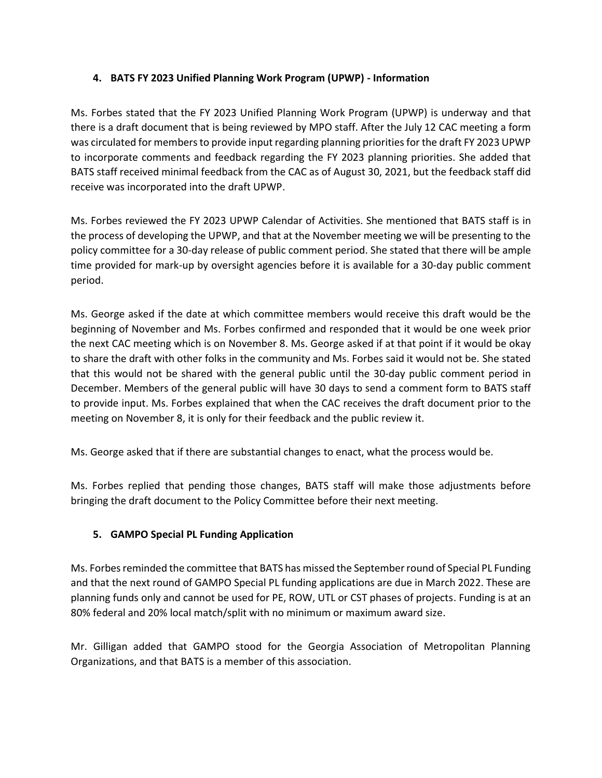## **4. BATS FY 2023 Unified Planning Work Program (UPWP) - Information**

Ms. Forbes stated that the FY 2023 Unified Planning Work Program (UPWP) is underway and that there is a draft document that is being reviewed by MPO staff. After the July 12 CAC meeting a form was circulated for members to provide input regarding planning priorities for the draft FY 2023 UPWP to incorporate comments and feedback regarding the FY 2023 planning priorities. She added that BATS staff received minimal feedback from the CAC as of August 30, 2021, but the feedback staff did receive was incorporated into the draft UPWP.

Ms. Forbes reviewed the FY 2023 UPWP Calendar of Activities. She mentioned that BATS staff is in the process of developing the UPWP, and that at the November meeting we will be presenting to the policy committee for a 30-day release of public comment period. She stated that there will be ample time provided for mark-up by oversight agencies before it is available for a 30-day public comment period.

Ms. George asked if the date at which committee members would receive this draft would be the beginning of November and Ms. Forbes confirmed and responded that it would be one week prior the next CAC meeting which is on November 8. Ms. George asked if at that point if it would be okay to share the draft with other folks in the community and Ms. Forbes said it would not be. She stated that this would not be shared with the general public until the 30-day public comment period in December. Members of the general public will have 30 days to send a comment form to BATS staff to provide input. Ms. Forbes explained that when the CAC receives the draft document prior to the meeting on November 8, it is only for their feedback and the public review it.

Ms. George asked that if there are substantial changes to enact, what the process would be.

Ms. Forbes replied that pending those changes, BATS staff will make those adjustments before bringing the draft document to the Policy Committee before their next meeting.

# **5. GAMPO Special PL Funding Application**

Ms. Forbes reminded the committee that BATS has missed the September round of Special PL Funding and that the next round of GAMPO Special PL funding applications are due in March 2022. These are planning funds only and cannot be used for PE, ROW, UTL or CST phases of projects. Funding is at an 80% federal and 20% local match/split with no minimum or maximum award size.

Mr. Gilligan added that GAMPO stood for the Georgia Association of Metropolitan Planning Organizations, and that BATS is a member of this association.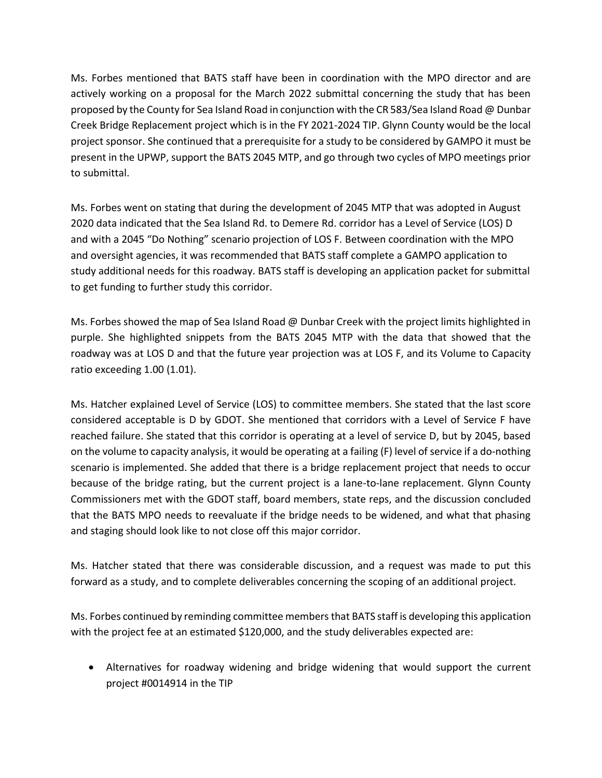Ms. Forbes mentioned that BATS staff have been in coordination with the MPO director and are actively working on a proposal for the March 2022 submittal concerning the study that has been proposed by the County for Sea Island Road in conjunction with the CR 583/Sea Island Road @ Dunbar Creek Bridge Replacement project which is in the FY 2021-2024 TIP. Glynn County would be the local project sponsor. She continued that a prerequisite for a study to be considered by GAMPO it must be present in the UPWP, support the BATS 2045 MTP, and go through two cycles of MPO meetings prior to submittal.

Ms. Forbes went on stating that during the development of 2045 MTP that was adopted in August 2020 data indicated that the Sea Island Rd. to Demere Rd. corridor has a Level of Service (LOS) D and with a 2045 "Do Nothing" scenario projection of LOS F. Between coordination with the MPO and oversight agencies, it was recommended that BATS staff complete a GAMPO application to study additional needs for this roadway. BATS staff is developing an application packet for submittal to get funding to further study this corridor.

Ms. Forbes showed the map of Sea Island Road @ Dunbar Creek with the project limits highlighted in purple. She highlighted snippets from the BATS 2045 MTP with the data that showed that the roadway was at LOS D and that the future year projection was at LOS F, and its Volume to Capacity ratio exceeding 1.00 (1.01).

Ms. Hatcher explained Level of Service (LOS) to committee members. She stated that the last score considered acceptable is D by GDOT. She mentioned that corridors with a Level of Service F have reached failure. She stated that this corridor is operating at a level of service D, but by 2045, based on the volume to capacity analysis, it would be operating at a failing (F) level of service if a do-nothing scenario is implemented. She added that there is a bridge replacement project that needs to occur because of the bridge rating, but the current project is a lane-to-lane replacement. Glynn County Commissioners met with the GDOT staff, board members, state reps, and the discussion concluded that the BATS MPO needs to reevaluate if the bridge needs to be widened, and what that phasing and staging should look like to not close off this major corridor.

Ms. Hatcher stated that there was considerable discussion, and a request was made to put this forward as a study, and to complete deliverables concerning the scoping of an additional project.

Ms. Forbes continued by reminding committee membersthat BATS staff is developing this application with the project fee at an estimated \$120,000, and the study deliverables expected are:

• Alternatives for roadway widening and bridge widening that would support the current project #0014914 in the TIP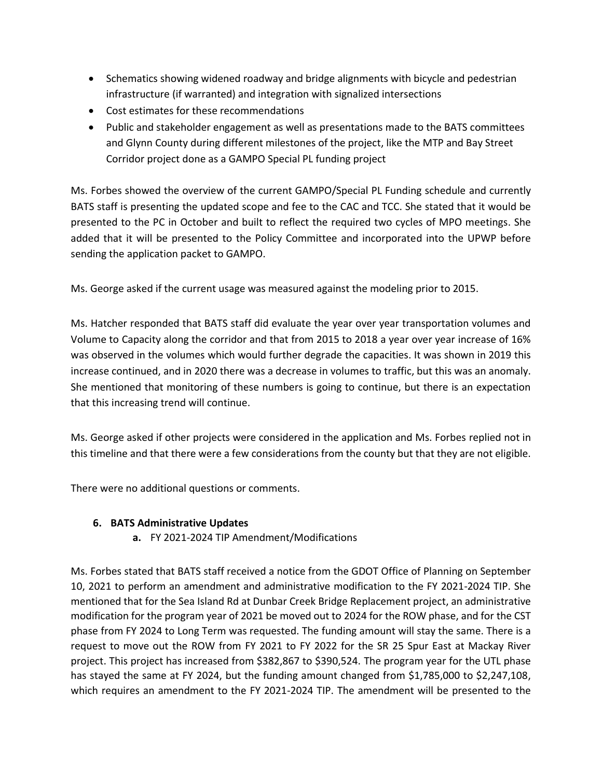- Schematics showing widened roadway and bridge alignments with bicycle and pedestrian infrastructure (if warranted) and integration with signalized intersections
- Cost estimates for these recommendations
- Public and stakeholder engagement as well as presentations made to the BATS committees and Glynn County during different milestones of the project, like the MTP and Bay Street Corridor project done as a GAMPO Special PL funding project

Ms. Forbes showed the overview of the current GAMPO/Special PL Funding schedule and currently BATS staff is presenting the updated scope and fee to the CAC and TCC. She stated that it would be presented to the PC in October and built to reflect the required two cycles of MPO meetings. She added that it will be presented to the Policy Committee and incorporated into the UPWP before sending the application packet to GAMPO.

Ms. George asked if the current usage was measured against the modeling prior to 2015.

Ms. Hatcher responded that BATS staff did evaluate the year over year transportation volumes and Volume to Capacity along the corridor and that from 2015 to 2018 a year over year increase of 16% was observed in the volumes which would further degrade the capacities. It was shown in 2019 this increase continued, and in 2020 there was a decrease in volumes to traffic, but this was an anomaly. She mentioned that monitoring of these numbers is going to continue, but there is an expectation that this increasing trend will continue.

Ms. George asked if other projects were considered in the application and Ms. Forbes replied not in this timeline and that there were a few considerations from the county but that they are not eligible.

There were no additional questions or comments.

# **6. BATS Administrative Updates**

**a.** FY 2021-2024 TIP Amendment/Modifications

Ms. Forbes stated that BATS staff received a notice from the GDOT Office of Planning on September 10, 2021 to perform an amendment and administrative modification to the FY 2021-2024 TIP. She mentioned that for the Sea Island Rd at Dunbar Creek Bridge Replacement project, an administrative modification for the program year of 2021 be moved out to 2024 for the ROW phase, and for the CST phase from FY 2024 to Long Term was requested. The funding amount will stay the same. There is a request to move out the ROW from FY 2021 to FY 2022 for the SR 25 Spur East at Mackay River project. This project has increased from \$382,867 to \$390,524. The program year for the UTL phase has stayed the same at FY 2024, but the funding amount changed from \$1,785,000 to \$2,247,108, which requires an amendment to the FY 2021-2024 TIP. The amendment will be presented to the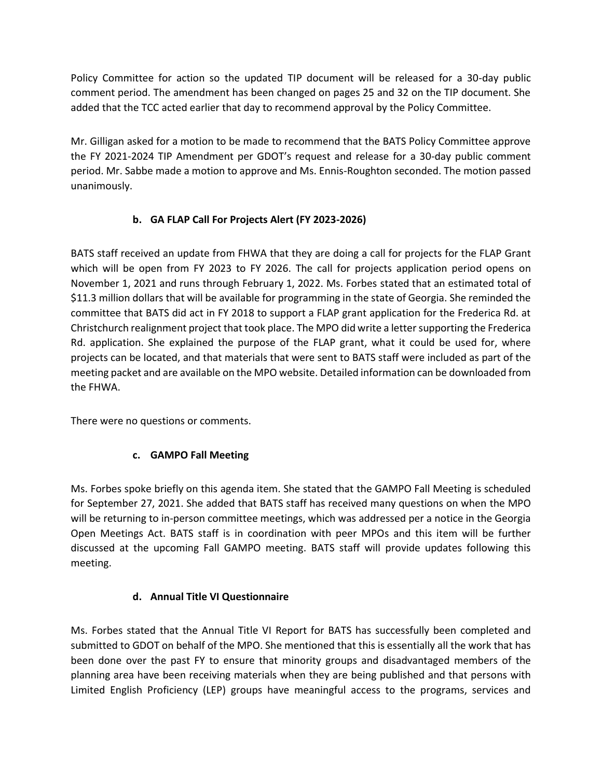Policy Committee for action so the updated TIP document will be released for a 30-day public comment period. The amendment has been changed on pages 25 and 32 on the TIP document. She added that the TCC acted earlier that day to recommend approval by the Policy Committee.

Mr. Gilligan asked for a motion to be made to recommend that the BATS Policy Committee approve the FY 2021-2024 TIP Amendment per GDOT's request and release for a 30-day public comment period. Mr. Sabbe made a motion to approve and Ms. Ennis-Roughton seconded. The motion passed unanimously.

# **b. GA FLAP Call For Projects Alert (FY 2023-2026)**

BATS staff received an update from FHWA that they are doing a call for projects for the FLAP Grant which will be open from FY 2023 to FY 2026. The call for projects application period opens on November 1, 2021 and runs through February 1, 2022. Ms. Forbes stated that an estimated total of \$11.3 million dollars that will be available for programming in the state of Georgia. She reminded the committee that BATS did act in FY 2018 to support a FLAP grant application for the Frederica Rd. at Christchurch realignment project that took place. The MPO did write a letter supporting the Frederica Rd. application. She explained the purpose of the FLAP grant, what it could be used for, where projects can be located, and that materials that were sent to BATS staff were included as part of the meeting packet and are available on the MPO website. Detailed information can be downloaded from the FHWA.

There were no questions or comments.

# **c. GAMPO Fall Meeting**

Ms. Forbes spoke briefly on this agenda item. She stated that the GAMPO Fall Meeting is scheduled for September 27, 2021. She added that BATS staff has received many questions on when the MPO will be returning to in-person committee meetings, which was addressed per a notice in the Georgia Open Meetings Act. BATS staff is in coordination with peer MPOs and this item will be further discussed at the upcoming Fall GAMPO meeting. BATS staff will provide updates following this meeting.

# **d. Annual Title VI Questionnaire**

Ms. Forbes stated that the Annual Title VI Report for BATS has successfully been completed and submitted to GDOT on behalf of the MPO. She mentioned that this is essentially all the work that has been done over the past FY to ensure that minority groups and disadvantaged members of the planning area have been receiving materials when they are being published and that persons with Limited English Proficiency (LEP) groups have meaningful access to the programs, services and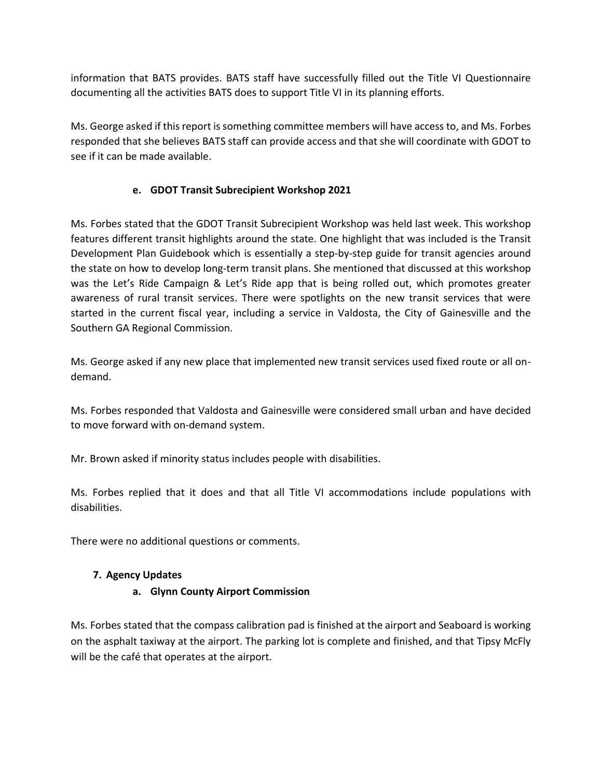information that BATS provides. BATS staff have successfully filled out the Title VI Questionnaire documenting all the activities BATS does to support Title VI in its planning efforts.

Ms. George asked if this report is something committee members will have access to, and Ms. Forbes responded that she believes BATS staff can provide access and that she will coordinate with GDOT to see if it can be made available.

## **e. GDOT Transit Subrecipient Workshop 2021**

Ms. Forbes stated that the GDOT Transit Subrecipient Workshop was held last week. This workshop features different transit highlights around the state. One highlight that was included is the Transit Development Plan Guidebook which is essentially a step-by-step guide for transit agencies around the state on how to develop long-term transit plans. She mentioned that discussed at this workshop was the Let's Ride Campaign & Let's Ride app that is being rolled out, which promotes greater awareness of rural transit services. There were spotlights on the new transit services that were started in the current fiscal year, including a service in Valdosta, the City of Gainesville and the Southern GA Regional Commission.

Ms. George asked if any new place that implemented new transit services used fixed route or all ondemand.

Ms. Forbes responded that Valdosta and Gainesville were considered small urban and have decided to move forward with on-demand system.

Mr. Brown asked if minority status includes people with disabilities.

Ms. Forbes replied that it does and that all Title VI accommodations include populations with disabilities.

There were no additional questions or comments.

# **7. Agency Updates**

# **a. Glynn County Airport Commission**

Ms. Forbes stated that the compass calibration pad is finished at the airport and Seaboard is working on the asphalt taxiway at the airport. The parking lot is complete and finished, and that Tipsy McFly will be the café that operates at the airport.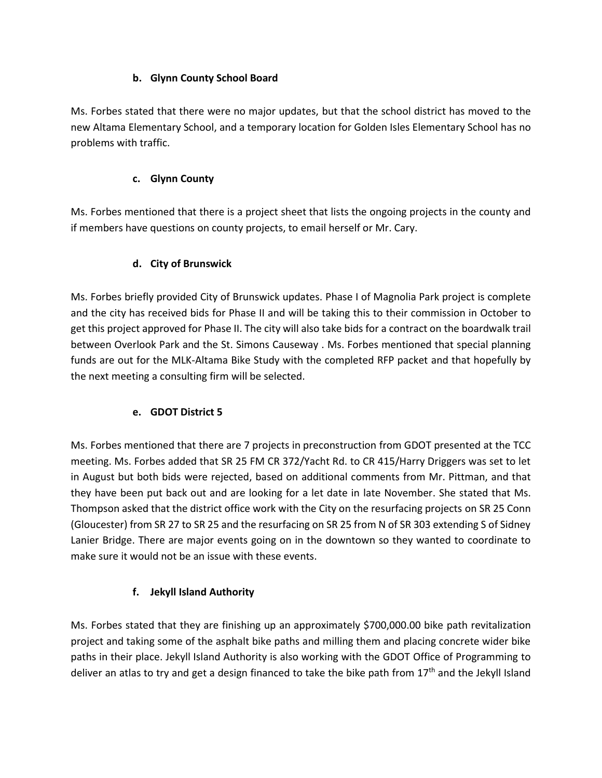# **b. Glynn County School Board**

Ms. Forbes stated that there were no major updates, but that the school district has moved to the new Altama Elementary School, and a temporary location for Golden Isles Elementary School has no problems with traffic.

# **c. Glynn County**

Ms. Forbes mentioned that there is a project sheet that lists the ongoing projects in the county and if members have questions on county projects, to email herself or Mr. Cary.

# **d. City of Brunswick**

Ms. Forbes briefly provided City of Brunswick updates. Phase I of Magnolia Park project is complete and the city has received bids for Phase II and will be taking this to their commission in October to get this project approved for Phase II. The city will also take bids for a contract on the boardwalk trail between Overlook Park and the St. Simons Causeway . Ms. Forbes mentioned that special planning funds are out for the MLK-Altama Bike Study with the completed RFP packet and that hopefully by the next meeting a consulting firm will be selected.

# **e. GDOT District 5**

Ms. Forbes mentioned that there are 7 projects in preconstruction from GDOT presented at the TCC meeting. Ms. Forbes added that SR 25 FM CR 372/Yacht Rd. to CR 415/Harry Driggers was set to let in August but both bids were rejected, based on additional comments from Mr. Pittman, and that they have been put back out and are looking for a let date in late November. She stated that Ms. Thompson asked that the district office work with the City on the resurfacing projects on SR 25 Conn (Gloucester) from SR 27 to SR 25 and the resurfacing on SR 25 from N of SR 303 extending S of Sidney Lanier Bridge. There are major events going on in the downtown so they wanted to coordinate to make sure it would not be an issue with these events.

# **f. Jekyll Island Authority**

Ms. Forbes stated that they are finishing up an approximately \$700,000.00 bike path revitalization project and taking some of the asphalt bike paths and milling them and placing concrete wider bike paths in their place. Jekyll Island Authority is also working with the GDOT Office of Programming to deliver an atlas to try and get a design financed to take the bike path from 17<sup>th</sup> and the Jekyll Island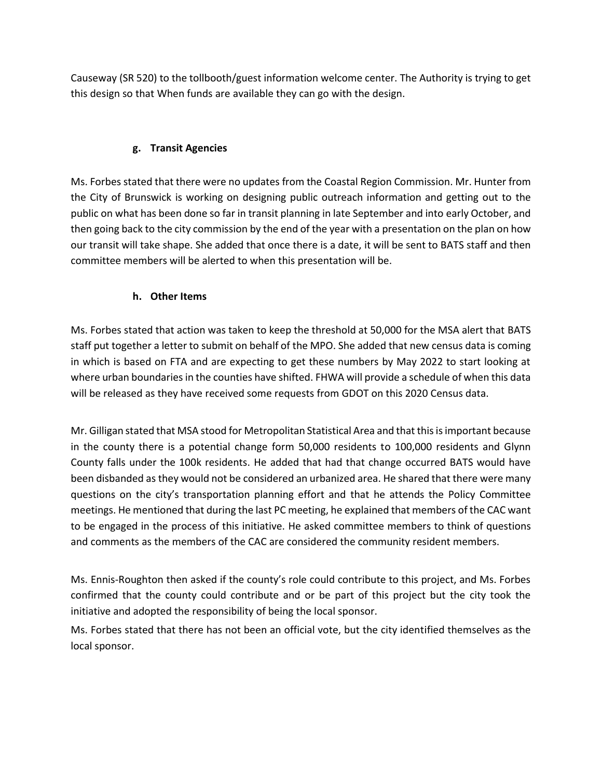Causeway (SR 520) to the tollbooth/guest information welcome center. The Authority is trying to get this design so that When funds are available they can go with the design.

## **g. Transit Agencies**

Ms. Forbes stated that there were no updates from the Coastal Region Commission. Mr. Hunter from the City of Brunswick is working on designing public outreach information and getting out to the public on what has been done so far in transit planning in late September and into early October, and then going back to the city commission by the end of the year with a presentation on the plan on how our transit will take shape. She added that once there is a date, it will be sent to BATS staff and then committee members will be alerted to when this presentation will be.

## **h. Other Items**

Ms. Forbes stated that action was taken to keep the threshold at 50,000 for the MSA alert that BATS staff put together a letter to submit on behalf of the MPO. She added that new census data is coming in which is based on FTA and are expecting to get these numbers by May 2022 to start looking at where urban boundaries in the counties have shifted. FHWA will provide a schedule of when this data will be released as they have received some requests from GDOT on this 2020 Census data.

Mr. Gilligan stated that MSA stood for Metropolitan Statistical Area and that this is important because in the county there is a potential change form 50,000 residents to 100,000 residents and Glynn County falls under the 100k residents. He added that had that change occurred BATS would have been disbanded as they would not be considered an urbanized area. He shared that there were many questions on the city's transportation planning effort and that he attends the Policy Committee meetings. He mentioned that during the last PC meeting, he explained that members of the CAC want to be engaged in the process of this initiative. He asked committee members to think of questions and comments as the members of the CAC are considered the community resident members.

Ms. Ennis-Roughton then asked if the county's role could contribute to this project, and Ms. Forbes confirmed that the county could contribute and or be part of this project but the city took the initiative and adopted the responsibility of being the local sponsor.

Ms. Forbes stated that there has not been an official vote, but the city identified themselves as the local sponsor.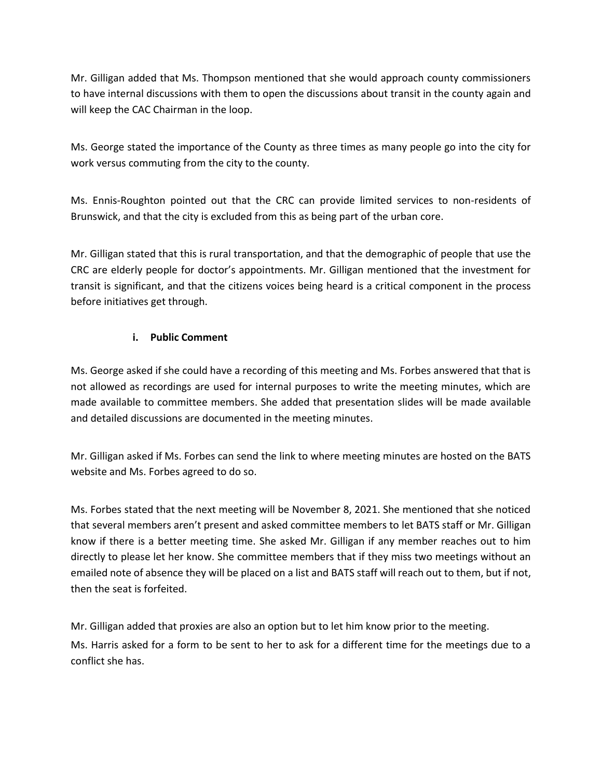Mr. Gilligan added that Ms. Thompson mentioned that she would approach county commissioners to have internal discussions with them to open the discussions about transit in the county again and will keep the CAC Chairman in the loop.

Ms. George stated the importance of the County as three times as many people go into the city for work versus commuting from the city to the county.

Ms. Ennis-Roughton pointed out that the CRC can provide limited services to non-residents of Brunswick, and that the city is excluded from this as being part of the urban core.

Mr. Gilligan stated that this is rural transportation, and that the demographic of people that use the CRC are elderly people for doctor's appointments. Mr. Gilligan mentioned that the investment for transit is significant, and that the citizens voices being heard is a critical component in the process before initiatives get through.

## **i. Public Comment**

Ms. George asked if she could have a recording of this meeting and Ms. Forbes answered that that is not allowed as recordings are used for internal purposes to write the meeting minutes, which are made available to committee members. She added that presentation slides will be made available and detailed discussions are documented in the meeting minutes.

Mr. Gilligan asked if Ms. Forbes can send the link to where meeting minutes are hosted on the BATS website and Ms. Forbes agreed to do so.

Ms. Forbes stated that the next meeting will be November 8, 2021. She mentioned that she noticed that several members aren't present and asked committee members to let BATS staff or Mr. Gilligan know if there is a better meeting time. She asked Mr. Gilligan if any member reaches out to him directly to please let her know. She committee members that if they miss two meetings without an emailed note of absence they will be placed on a list and BATS staff will reach out to them, but if not, then the seat is forfeited.

Mr. Gilligan added that proxies are also an option but to let him know prior to the meeting. Ms. Harris asked for a form to be sent to her to ask for a different time for the meetings due to a conflict she has.